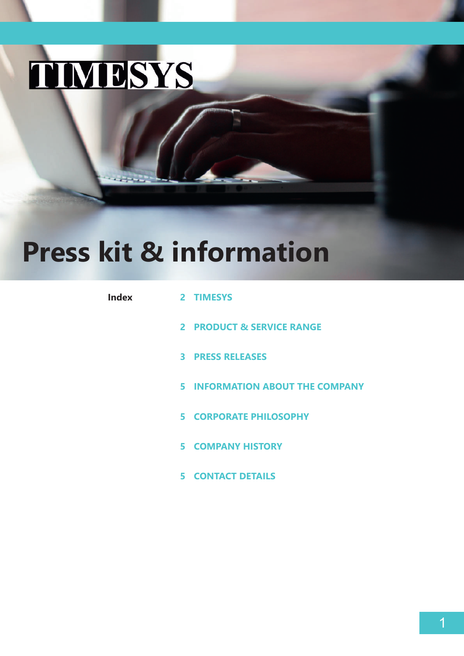# TIMBSYS

# **Press kit & information**

| <b>Index</b> | 2 TIMESYS                              |
|--------------|----------------------------------------|
|              | 2 PRODUCT & SERVICE RANGE              |
|              | <b>3 PRESS RELEASES</b>                |
|              | <b>5 INFORMATION ABOUT THE COMPANY</b> |
|              | <b>5 CORPORATE PHILOSOPHY</b>          |
|              | <b>5 COMPANY HISTORY</b>               |
|              | <b>5 CONTACT DETAILS</b>               |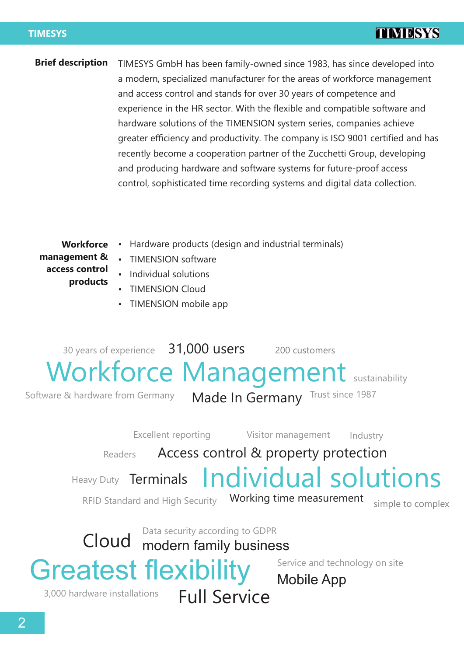#### **TIMESYS**

# **TIMBSYS**

TIMESYS GmbH has been family-owned since 1983, has since developed into a modern, specialized manufacturer for the areas of workforce management and access control and stands for over 30 years of competence and experience in the HR sector. With the flexible and compatible software and hardware solutions of the TIMENSION system series, companies achieve greater efficiency and productivity. The company is ISO 9001 certified and has recently become a cooperation partner of the Zucchetti Group, developing and producing hardware and software systems for future-proof access control, sophisticated time recording systems and digital data collection. **Brief description**

**Workforce management & access control products**

- Hardware products (design and industrial terminals)
- Individual solutions
	- **TIMENSION Cloud**
	- TIMENSION mobile app

**TIMENSION software** 

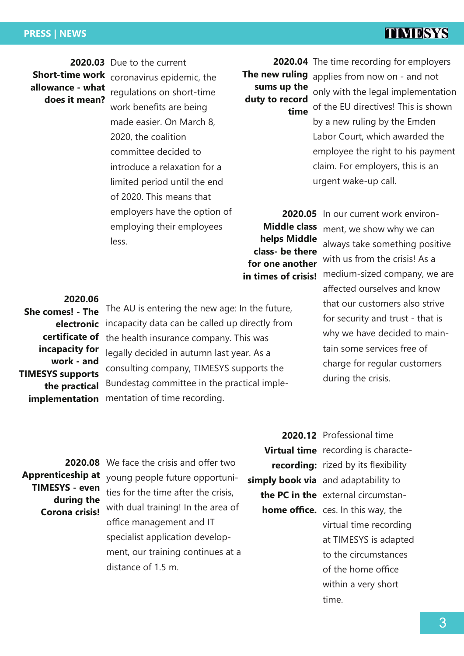#### **PRESS | NEWS**

# **TIMBSYS**

**allowance - what does it mean?**

**2020.03** Due to the current **Short-time work**  coronavirus epidemic, the regulations on short-time work benefits are being made easier. On March 8, 2020, the coalition committee decided to introduce a relaxation for a limited period until the end of 2020. This means that employers have the option of employing their employees less.

**sums up the duty to record time**

**2020.04** The time recording for employers **The new ruling** applies from now on - and not only with the legal implementation of the EU directives! This is shown by a new ruling by the Emden Labor Court, which awarded the employee the right to his payment claim. For employers, this is an urgent wake-up call.

**Middle class helps Middle class- be there for one another** 

**2020.05** In our current work environ**in times of crisis!** medium-sized company, we are ment, we show why we can always take something positive with us from the crisis! As a affected ourselves and know that our customers also strive for security and trust - that is why we have decided to maintain some services free of charge for regular customers during the crisis.

**She comes! - The electronic certificate of incapacity for work - and TIMESYS supports the practical implementation**

**2020.06**

The AU is entering the new age: In the future, incapacity data can be called up directly from the health insurance company. This was legally decided in autumn last year. As a consulting company, TIMESYS supports the Bundestag committee in the practical implementation of time recording.

**Apprenticeship at TIMESYS - even during the Corona crisis!**

**2020.08** We face the crisis and offer two young people future opportunities for the time after the crisis, with dual training! In the area of office management and IT specialist application development, our training continues at a distance of 1.5 m.

**2020.12** Professional time **Virtual time** recording is characte**recording:** rized by its flexibility simply book via and adaptability to **the PC in the** external circumstan**home office.** ces. In this way, the virtual time recording at TIMESYS is adapted to the circumstances of the home office within a very short time.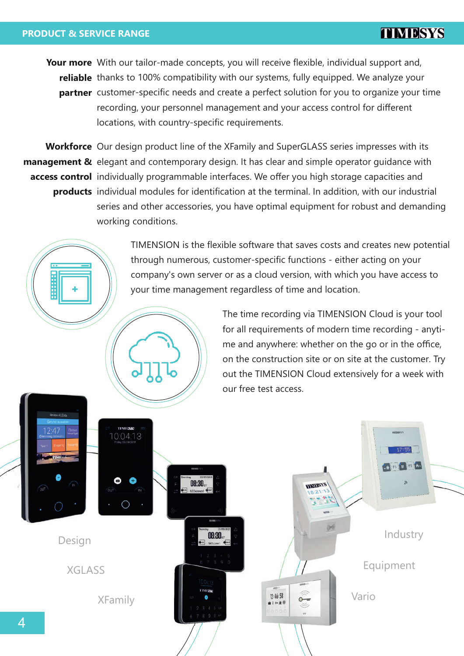#### **PRODUCT & SERVICE RANGE**

**Your more** With our tailor-made concepts, you will receive flexible, individual support and, reliable thanks to 100% compatibility with our systems, fully equipped. We analyze your **partner** customer-specific needs and create a perfect solution for you to organize your time recording, your personnel management and your access control for different locations, with country-specific requirements.

**Workforce**  Our design product line of the XFamily and SuperGLASS series impresses with its **management &** elegant and contemporary design. It has clear and simple operator guidance with **access control**  individually programmable interfaces. We offer you high storage capacities and **products** individual modules for identification at the terminal. In addition, with our industrial series and other accessories, you have optimal equipment for robust and demanding working conditions.

> TIMENSION is the flexible software that saves costs and creates new potential through numerous, customer-specific functions - either acting on your company's own server or as a cloud version, with which you have access to your time management regardless of time and location.

> > The time recording via TIMENSION Cloud is your tool for all requirements of modern time recording - anytime and anywhere: whether on the go or in the office, on the construction site or on site at the customer. Try out the TIMENSION Cloud extensively for a week with our free test access.